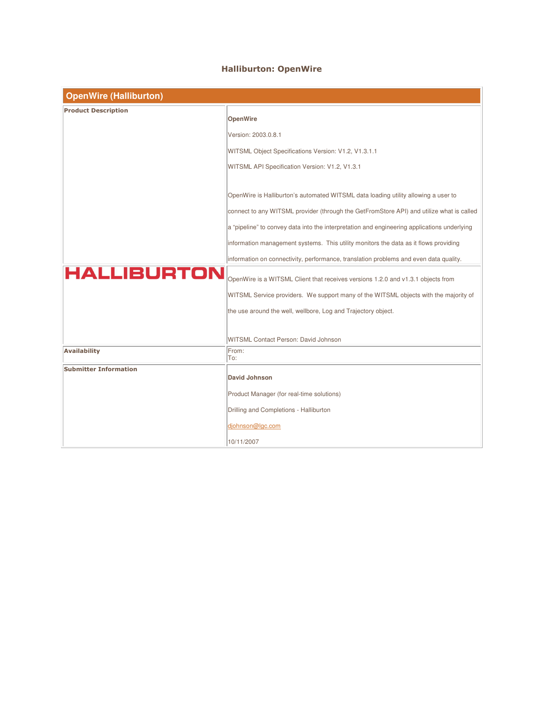## Halliburton: OpenWire

| <b>OpenWire (Halliburton)</b> |                                                                                             |  |
|-------------------------------|---------------------------------------------------------------------------------------------|--|
| <b>Product Description</b>    |                                                                                             |  |
|                               | <b>OpenWire</b>                                                                             |  |
|                               | Version: 2003.0.8.1                                                                         |  |
|                               | WITSML Object Specifications Version: V1.2, V1.3.1.1                                        |  |
|                               | WITSML API Specification Version: V1.2, V1.3.1                                              |  |
|                               |                                                                                             |  |
|                               | OpenWire is Halliburton's automated WITSML data loading utility allowing a user to          |  |
|                               | connect to any WITSML provider (through the GetFromStore API) and utilize what is called    |  |
|                               | a "pipeline" to convey data into the interpretation and engineering applications underlying |  |
|                               | information management systems. This utility monitors the data as it flows providing        |  |
|                               | information on connectivity, performance, translation problems and even data quality.       |  |
| <b>HALLIBURTON</b>            | OpenWire is a WITSML Client that receives versions 1.2.0 and v1.3.1 objects from            |  |
|                               | WITSML Service providers. We support many of the WITSML objects with the majority of        |  |
|                               | the use around the well, wellbore, Log and Trajectory object.                               |  |
|                               |                                                                                             |  |
|                               | WITSML Contact Person: David Johnson                                                        |  |
| <b>Availability</b>           | From:<br>To:                                                                                |  |
| <b>Submitter Information</b>  |                                                                                             |  |
|                               | <b>David Johnson</b>                                                                        |  |
|                               | Product Manager (for real-time solutions)                                                   |  |
|                               | Drilling and Completions - Halliburton                                                      |  |
|                               | djohnson@lgc.com                                                                            |  |
|                               | 10/11/2007                                                                                  |  |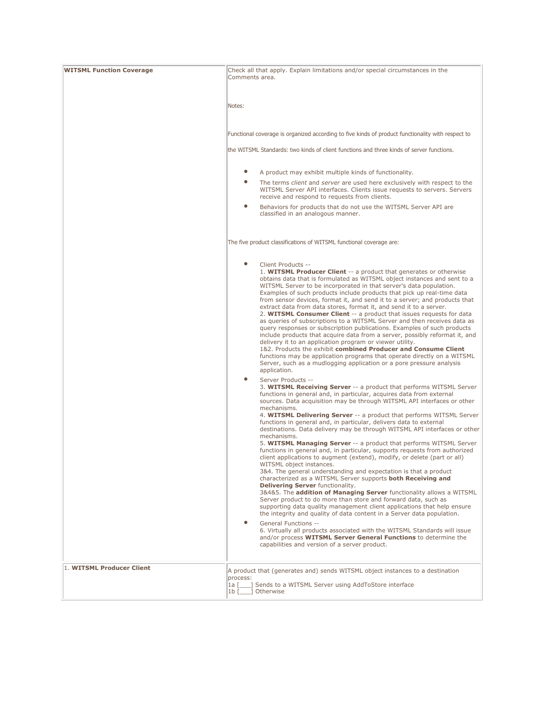| <b>WITSML Function Coverage</b> | Check all that apply. Explain limitations and/or special circumstances in the<br>Comments area.                                                                                                                                                                                                                                                                                                                                                                                                                                                                                                                                                                                                                                                                                                                                                                                                                                                                                                                                                                                                                                                                                                                                                                                                                                                                                                                                                                                     |
|---------------------------------|-------------------------------------------------------------------------------------------------------------------------------------------------------------------------------------------------------------------------------------------------------------------------------------------------------------------------------------------------------------------------------------------------------------------------------------------------------------------------------------------------------------------------------------------------------------------------------------------------------------------------------------------------------------------------------------------------------------------------------------------------------------------------------------------------------------------------------------------------------------------------------------------------------------------------------------------------------------------------------------------------------------------------------------------------------------------------------------------------------------------------------------------------------------------------------------------------------------------------------------------------------------------------------------------------------------------------------------------------------------------------------------------------------------------------------------------------------------------------------------|
|                                 | Notes:                                                                                                                                                                                                                                                                                                                                                                                                                                                                                                                                                                                                                                                                                                                                                                                                                                                                                                                                                                                                                                                                                                                                                                                                                                                                                                                                                                                                                                                                              |
|                                 | Functional coverage is organized according to five kinds of product functionality with respect to                                                                                                                                                                                                                                                                                                                                                                                                                                                                                                                                                                                                                                                                                                                                                                                                                                                                                                                                                                                                                                                                                                                                                                                                                                                                                                                                                                                   |
|                                 | the WITSML Standards: two kinds of client functions and three kinds of server functions.                                                                                                                                                                                                                                                                                                                                                                                                                                                                                                                                                                                                                                                                                                                                                                                                                                                                                                                                                                                                                                                                                                                                                                                                                                                                                                                                                                                            |
|                                 | $\bullet$<br>A product may exhibit multiple kinds of functionality.<br>$\bullet$<br>The terms <i>client</i> and <i>server</i> are used here exclusively with respect to the                                                                                                                                                                                                                                                                                                                                                                                                                                                                                                                                                                                                                                                                                                                                                                                                                                                                                                                                                                                                                                                                                                                                                                                                                                                                                                         |
|                                 | WITSML Server API interfaces. Clients issue requests to servers. Servers<br>receive and respond to requests from clients.                                                                                                                                                                                                                                                                                                                                                                                                                                                                                                                                                                                                                                                                                                                                                                                                                                                                                                                                                                                                                                                                                                                                                                                                                                                                                                                                                           |
|                                 | $\bullet$<br>Behaviors for products that do not use the WITSML Server API are<br>classified in an analogous manner.                                                                                                                                                                                                                                                                                                                                                                                                                                                                                                                                                                                                                                                                                                                                                                                                                                                                                                                                                                                                                                                                                                                                                                                                                                                                                                                                                                 |
|                                 | The five product classifications of WITSML functional coverage are:                                                                                                                                                                                                                                                                                                                                                                                                                                                                                                                                                                                                                                                                                                                                                                                                                                                                                                                                                                                                                                                                                                                                                                                                                                                                                                                                                                                                                 |
|                                 | $\bullet$<br>Client Products --<br>1. WITSML Producer Client -- a product that generates or otherwise<br>obtains data that is formulated as WITSML object instances and sent to a<br>WITSML Server to be incorporated in that server's data population.<br>Examples of such products include products that pick up real-time data<br>from sensor devices, format it, and send it to a server; and products that<br>extract data from data stores, format it, and send it to a server.<br>2. WITSML Consumer Client -- a product that issues requests for data<br>as queries of subscriptions to a WITSML Server and then receives data as<br>query responses or subscription publications. Examples of such products<br>include products that acquire data from a server, possibly reformat it, and<br>delivery it to an application program or viewer utility.<br>1&2. Products the exhibit combined Producer and Consume Client<br>functions may be application programs that operate directly on a WITSML<br>Server, such as a mudlogging application or a pore pressure analysis<br>application.                                                                                                                                                                                                                                                                                                                                                                                |
|                                 | $\bullet$<br>Server Products --<br>3. WITSML Receiving Server -- a product that performs WITSML Server<br>functions in general and, in particular, acquires data from external<br>sources. Data acquisition may be through WITSML API interfaces or other<br>mechanisms.<br>4. WITSML Delivering Server -- a product that performs WITSML Server<br>functions in general and, in particular, delivers data to external<br>destinations. Data delivery may be through WITSML API interfaces or other<br>mechanisms.<br>5. WITSML Managing Server -- a product that performs WITSML Server<br>functions in general and, in particular, supports requests from authorized<br>client applications to augment (extend), modify, or delete (part or all)<br>WITSML object instances.<br>3&4. The general understanding and expectation is that a product<br>characterized as a WITSML Server supports both Receiving and<br>Delivering Server functionality.<br>3&4&5. The addition of Managing Server functionality allows a WITSML<br>Server product to do more than store and forward data, such as<br>supporting data quality management client applications that help ensure<br>the integrity and quality of data content in a Server data population.<br>۰<br>General Functions --<br>6. Virtually all products associated with the WITSML Standards will issue<br>and/or process WITSML Server General Functions to determine the<br>capabilities and version of a server product. |
| 1. WITSML Producer Client       | A product that (generates and) sends WITSML object instances to a destination<br>process:<br>$1a$ $\lceil$<br>] Sends to a WITSML Server using AddToStore interface<br>1b [ ] Otherwise                                                                                                                                                                                                                                                                                                                                                                                                                                                                                                                                                                                                                                                                                                                                                                                                                                                                                                                                                                                                                                                                                                                                                                                                                                                                                             |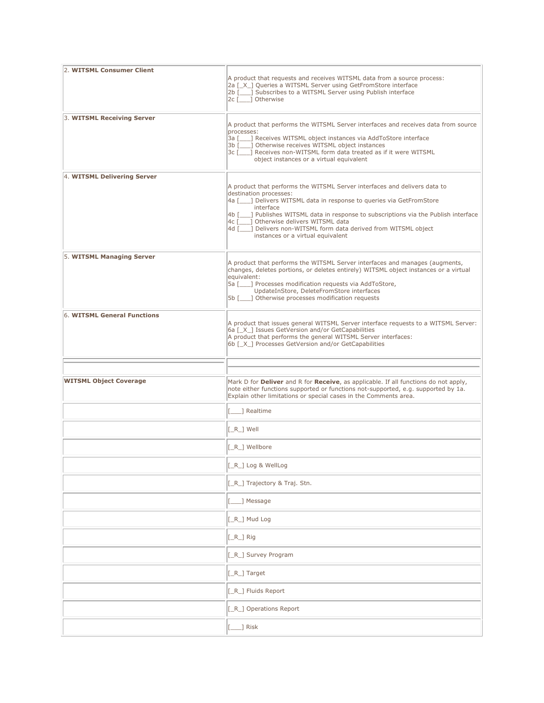| 2. WITSML Consumer Client     | A product that requests and receives WITSML data from a source process:<br>2a [X ] Queries a WITSML Server using GetFromStore interface<br>2b [10, 3 Subscribes to a WITSML Server using Publish interface<br>2c [ ] Otherwise                                                                                                                                                                                                            |
|-------------------------------|-------------------------------------------------------------------------------------------------------------------------------------------------------------------------------------------------------------------------------------------------------------------------------------------------------------------------------------------------------------------------------------------------------------------------------------------|
| 3. WITSML Receiving Server    | A product that performs the WITSML Server interfaces and receives data from source<br>processes:<br>3a [1621] Receives WITSML object instances via AddToStore interface<br>3b [ ] Otherwise receives WITSML object instances<br>3c [100] Receives non-WITSML form data treated as if it were WITSML<br>object instances or a virtual equivalent                                                                                           |
| 4. WITSML Delivering Server   | A product that performs the WITSML Server interfaces and delivers data to<br>destination processes:<br>4a [10, 2] Delivers WITSML data in response to queries via GetFromStore<br>interface<br>4b [___] Publishes WITSML data in response to subscriptions via the Publish interface<br>4c [     Otherwise delivers WITSML data<br>4d [___] Delivers non-WITSML form data derived from WITSML object<br>instances or a virtual equivalent |
| 5. WITSML Managing Server     | A product that performs the WITSML Server interfaces and manages (augments,<br>changes, deletes portions, or deletes entirely) WITSML object instances or a virtual<br>equivalent:<br>5a [ ] Processes modification requests via AddToStore,<br>UpdateInStore, DeleteFromStore interfaces<br>5b [ ] Otherwise processes modification requests                                                                                             |
| 6. WITSML General Functions   | A product that issues general WITSML Server interface requests to a WITSML Server:<br>6a [X ] Issues GetVersion and/or GetCapabilities<br>A product that performs the general WITSML Server interfaces:<br>6b [X ] Processes GetVersion and/or GetCapabilities                                                                                                                                                                            |
|                               |                                                                                                                                                                                                                                                                                                                                                                                                                                           |
|                               |                                                                                                                                                                                                                                                                                                                                                                                                                                           |
| <b>WITSML Object Coverage</b> | Mark D for Deliver and R for Receive, as applicable. If all functions do not apply,<br>note either functions supported or functions not-supported, e.g. supported by 1a.<br>Explain other limitations or special cases in the Comments area.                                                                                                                                                                                              |
|                               | 1 Realtime                                                                                                                                                                                                                                                                                                                                                                                                                                |
|                               | $[-R_]$ Well                                                                                                                                                                                                                                                                                                                                                                                                                              |
|                               | [_R_] Wellbore                                                                                                                                                                                                                                                                                                                                                                                                                            |
|                               | $[-R_$ Log & WellLog                                                                                                                                                                                                                                                                                                                                                                                                                      |
|                               | [_R_] Trajectory & Traj. Stn.                                                                                                                                                                                                                                                                                                                                                                                                             |
|                               | _] Message                                                                                                                                                                                                                                                                                                                                                                                                                                |
|                               | [_R_] Mud Log                                                                                                                                                                                                                                                                                                                                                                                                                             |
|                               | $[-R_]$ Rig                                                                                                                                                                                                                                                                                                                                                                                                                               |
|                               | [_R_] Survey Program                                                                                                                                                                                                                                                                                                                                                                                                                      |
|                               | [_R_] Target                                                                                                                                                                                                                                                                                                                                                                                                                              |
|                               | [_R_] Fluids Report                                                                                                                                                                                                                                                                                                                                                                                                                       |
|                               | [_R_] Operations Report                                                                                                                                                                                                                                                                                                                                                                                                                   |